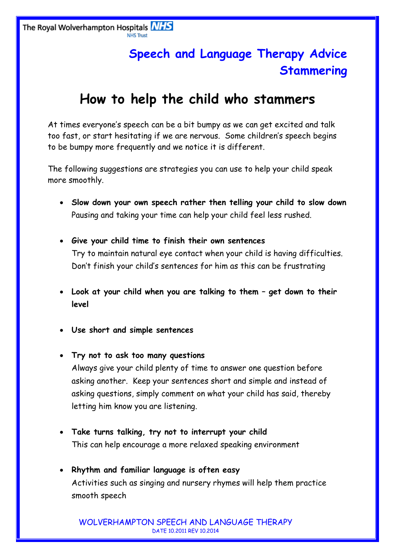## **Speech and Language Therapy Advice Stammering**

## **How to help the child who stammers**

At times everyone's speech can be a bit bumpy as we can get excited and talk too fast, or start hesitating if we are nervous. Some children's speech begins to be bumpy more frequently and we notice it is different.

The following suggestions are strategies you can use to help your child speak more smoothly.

- **Slow down your own speech rather then telling your child to slow down** Pausing and taking your time can help your child feel less rushed.
- **Give your child time to finish their own sentences** Try to maintain natural eye contact when your child is having difficulties. Don't finish your child's sentences for him as this can be frustrating
- **Look at your child when you are talking to them – get down to their level**
- **Use short and simple sentences**
- **Try not to ask too many questions** Always give your child plenty of time to answer one question before asking another. Keep your sentences short and simple and instead of asking questions, simply comment on what your child has said, thereby letting him know you are listening.
- **Take turns talking, try not to interrupt your child** This can help encourage a more relaxed speaking environment
- **Rhythm and familiar language is often easy** Activities such as singing and nursery rhymes will help them practice smooth speech